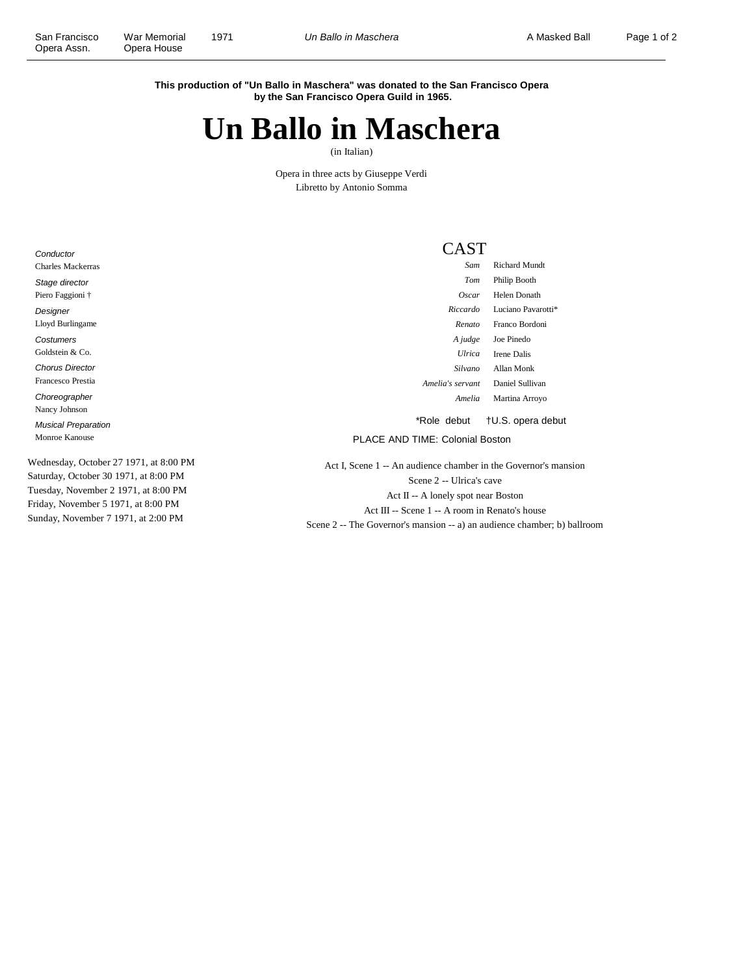**This production of "Un Ballo in Maschera" was donated to the San Francisco Opera by the San Francisco Opera Guild in 1965.**

## **Un Ballo in Maschera**

(in Italian)

Opera in three acts by Giuseppe Verdi Libretto by Antonio Somma

**Conductor** Charles Mackerras Stage director Piero Faggioni † Designer Lloyd Burlingame **Costumers** Goldstein & Co. Chorus Director Francesco Prestia Choreographer Nancy Johnson Musical Preparation Monroe Kanouse Wednesday, October 27 1971, at 8:00 PM

Saturday, October 30 1971, at 8:00 PM Tuesday, November 2 1971, at 8:00 PM Friday, November 5 1971, at 8:00 PM Sunday, November 7 1971, at 2:00 PM

CAST

| Sam              | Richard Mundt       |
|------------------|---------------------|
| Tom              | Philip Booth        |
| Oscar            | <b>Helen Donath</b> |
| Riccardo         | Luciano Pavarotti*  |
| Renato           | Franco Bordoni      |
| A judge          | Joe Pinedo          |
| I Ilrica         | <b>Irene Dalis</b>  |
| Silvano          | Allan Monk          |
| Amelia's servant | Daniel Sullivan     |
| Amelia           | Martina Arroyo      |
|                  |                     |

\*Role debut †U.S. opera debut

PLACE AND TIME: Colonial Boston

Act I, Scene 1 -- An audience chamber in the Governor's mansion Scene 2 -- Ulrica's cave Act II -- A lonely spot near Boston Act III -- Scene 1 -- A room in Renato's house Scene 2 -- The Governor's mansion -- a) an audience chamber; b) ballroom